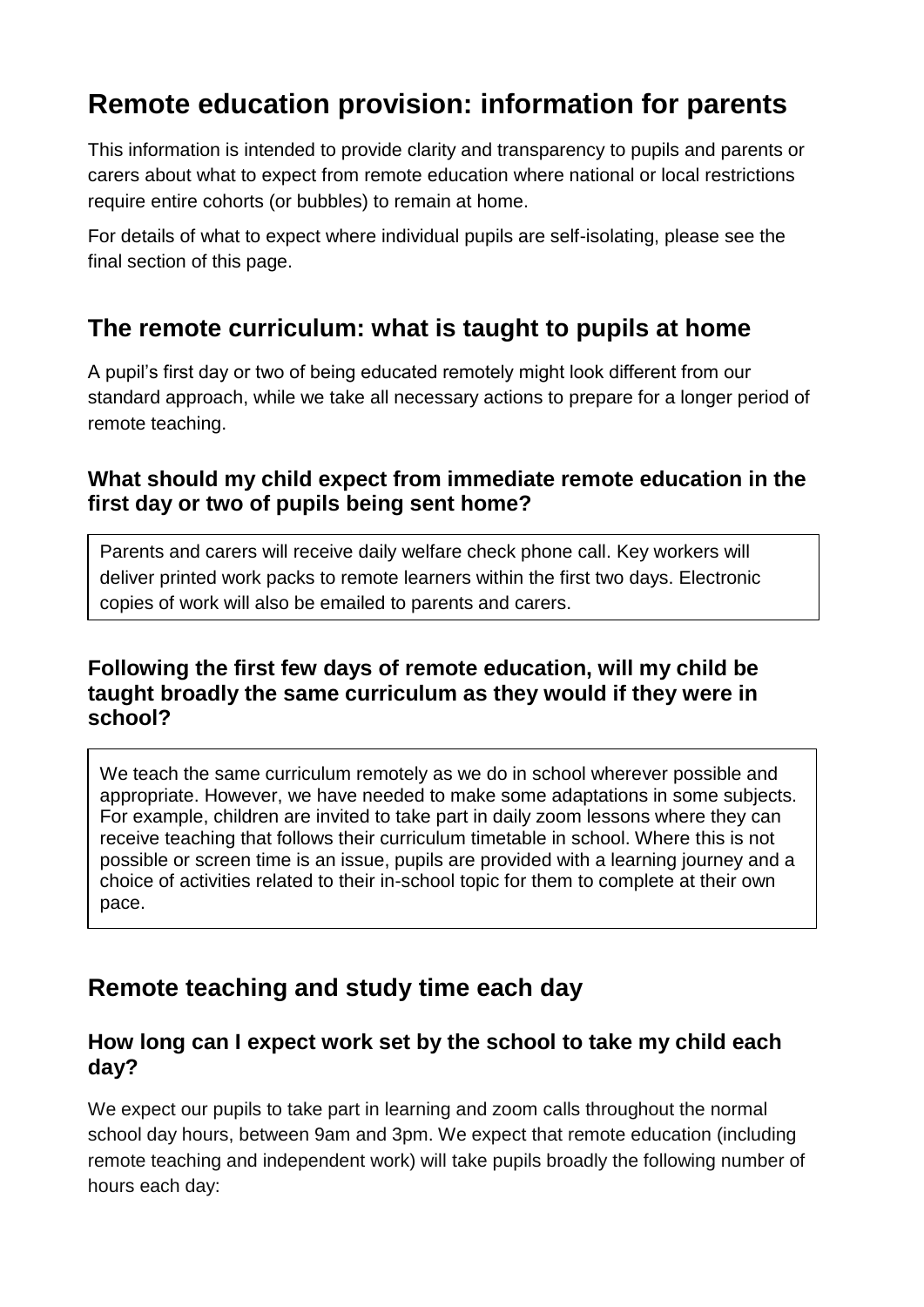# **Remote education provision: information for parents**

This information is intended to provide clarity and transparency to pupils and parents or carers about what to expect from remote education where national or local restrictions require entire cohorts (or bubbles) to remain at home.

For details of what to expect where individual pupils are self-isolating, please see the final section of this page.

### **The remote curriculum: what is taught to pupils at home**

A pupil's first day or two of being educated remotely might look different from our standard approach, while we take all necessary actions to prepare for a longer period of remote teaching.

#### **What should my child expect from immediate remote education in the first day or two of pupils being sent home?**

Parents and carers will receive daily welfare check phone call. Key workers will deliver printed work packs to remote learners within the first two days. Electronic copies of work will also be emailed to parents and carers.

#### **Following the first few days of remote education, will my child be taught broadly the same curriculum as they would if they were in school?**

We teach the same curriculum remotely as we do in school wherever possible and appropriate. However, we have needed to make some adaptations in some subjects. For example, children are invited to take part in daily zoom lessons where they can receive teaching that follows their curriculum timetable in school. Where this is not possible or screen time is an issue, pupils are provided with a learning journey and a choice of activities related to their in-school topic for them to complete at their own pace.

### **Remote teaching and study time each day**

#### **How long can I expect work set by the school to take my child each day?**

We expect our pupils to take part in learning and zoom calls throughout the normal school day hours, between 9am and 3pm. We expect that remote education (including remote teaching and independent work) will take pupils broadly the following number of hours each day: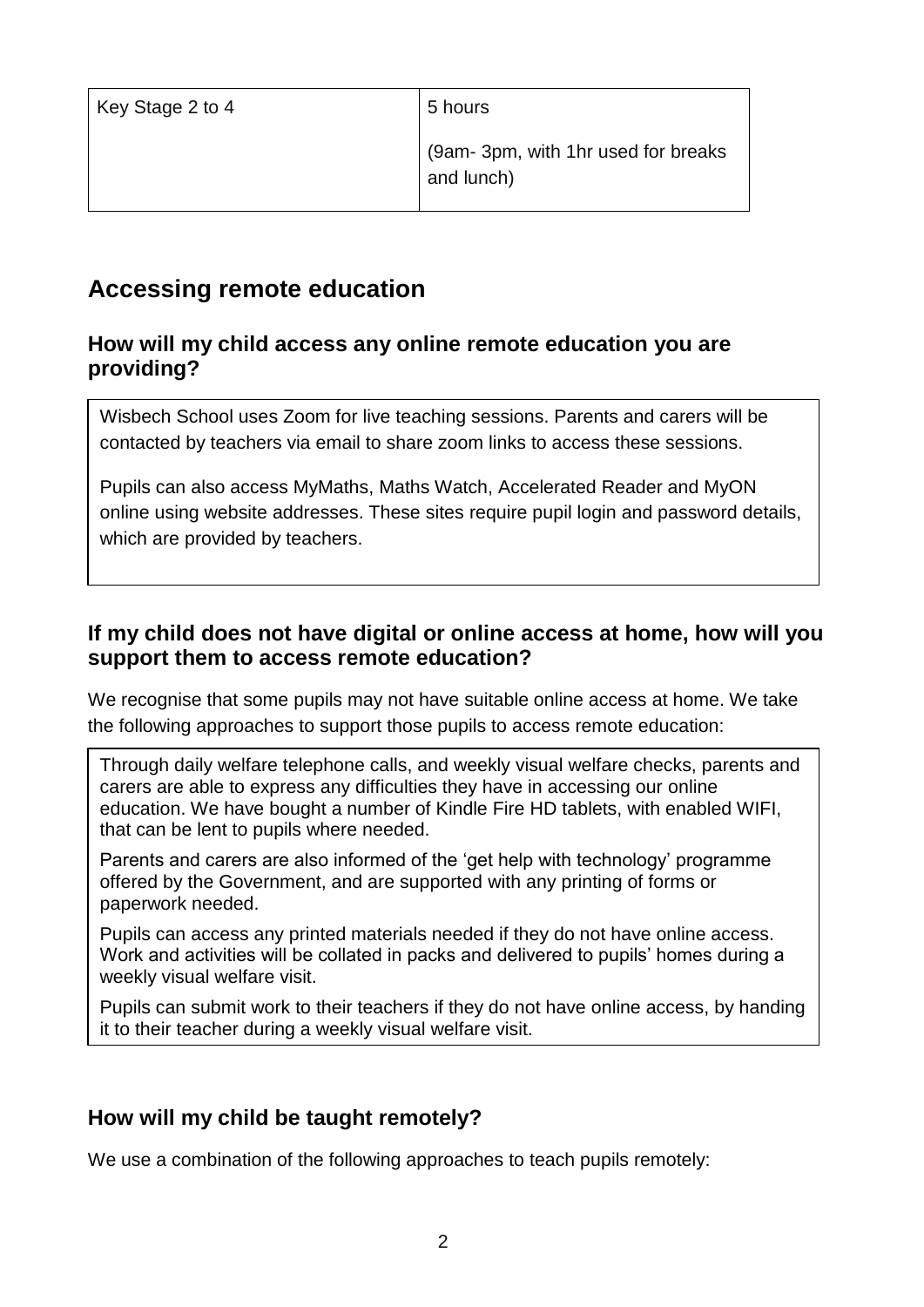| Key Stage 2 to 4 | 5 hours                                          |
|------------------|--------------------------------------------------|
|                  | (9am-3pm, with 1hr used for breaks<br>and lunch) |

### **Accessing remote education**

#### **How will my child access any online remote education you are providing?**

Wisbech School uses Zoom for live teaching sessions. Parents and carers will be contacted by teachers via email to share zoom links to access these sessions.

Pupils can also access MyMaths, Maths Watch, Accelerated Reader and MyON online using website addresses. These sites require pupil login and password details, which are provided by teachers.

#### **If my child does not have digital or online access at home, how will you support them to access remote education?**

We recognise that some pupils may not have suitable online access at home. We take the following approaches to support those pupils to access remote education:

Through daily welfare telephone calls, and weekly visual welfare checks, parents and carers are able to express any difficulties they have in accessing our online education. We have bought a number of Kindle Fire HD tablets, with enabled WIFI, that can be lent to pupils where needed.

Parents and carers are also informed of the 'get help with technology' programme offered by the Government, and are supported with any printing of forms or paperwork needed.

Pupils can access any printed materials needed if they do not have online access. Work and activities will be collated in packs and delivered to pupils' homes during a weekly visual welfare visit.

Pupils can submit work to their teachers if they do not have online access, by handing it to their teacher during a weekly visual welfare visit.

#### **How will my child be taught remotely?**

We use a combination of the following approaches to teach pupils remotely: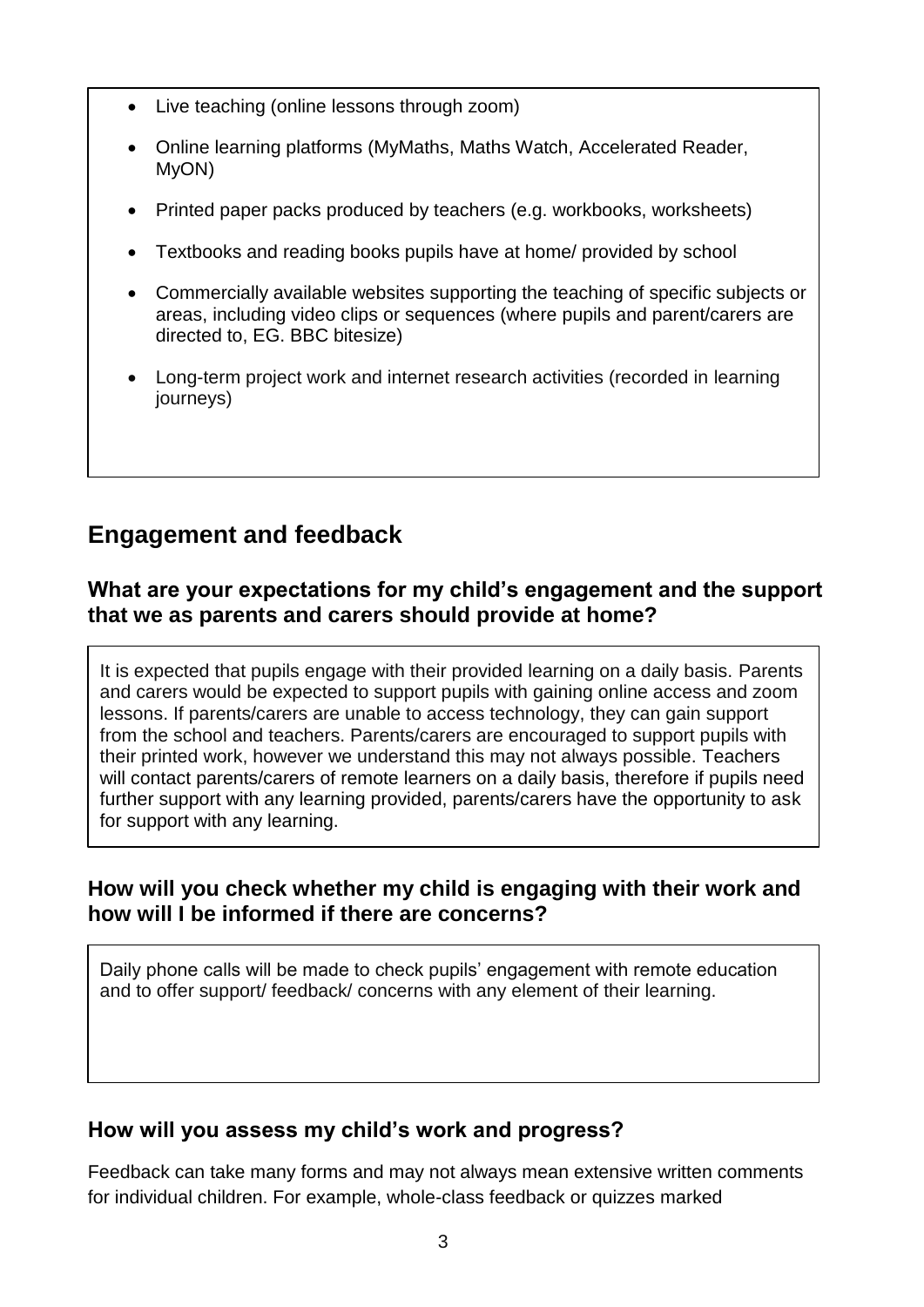- Live teaching (online lessons through zoom)
- Online learning platforms (MyMaths, Maths Watch, Accelerated Reader, MyON)
- Printed paper packs produced by teachers (e.g. workbooks, worksheets)
- Textbooks and reading books pupils have at home/ provided by school
- Commercially available websites supporting the teaching of specific subjects or areas, including video clips or sequences (where pupils and parent/carers are directed to, EG. BBC bitesize)
- Long-term project work and internet research activities (recorded in learning journeys)

## **Engagement and feedback**

#### **What are your expectations for my child's engagement and the support that we as parents and carers should provide at home?**

It is expected that pupils engage with their provided learning on a daily basis. Parents and carers would be expected to support pupils with gaining online access and zoom lessons. If parents/carers are unable to access technology, they can gain support from the school and teachers. Parents/carers are encouraged to support pupils with their printed work, however we understand this may not always possible. Teachers will contact parents/carers of remote learners on a daily basis, therefore if pupils need further support with any learning provided, parents/carers have the opportunity to ask for support with any learning.

#### **How will you check whether my child is engaging with their work and how will I be informed if there are concerns?**

Daily phone calls will be made to check pupils' engagement with remote education and to offer support/ feedback/ concerns with any element of their learning.

#### **How will you assess my child's work and progress?**

Feedback can take many forms and may not always mean extensive written comments for individual children. For example, whole-class feedback or quizzes marked